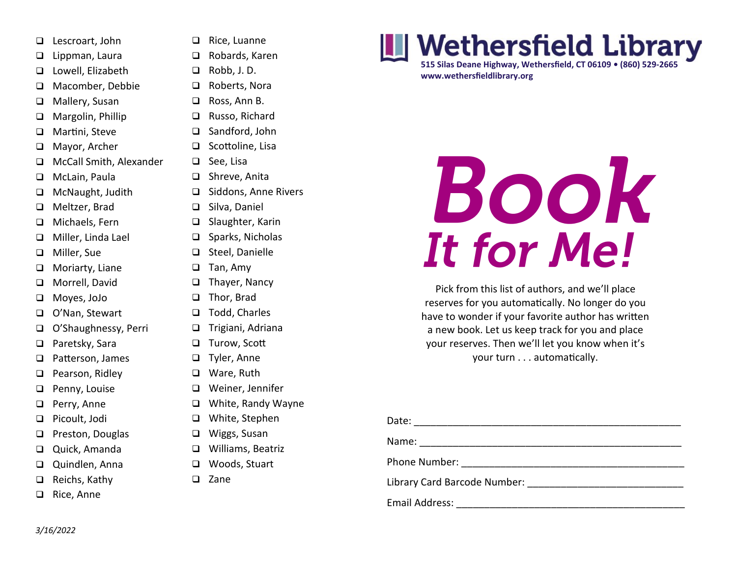- ❑ Lescroart, John
- ❑ Lippman, Laura
- ❑ Lowell, Elizabeth
- ❑ Macomber, Debbie
- ❑ Mallery, Susan
- ❑ Margolin, Phillip
- ❑ Martini, Steve
- ❑ Mayor, Archer
- ❑ McCall Smith, Alexander
- ❑ McLain, Paula
- ❑ McNaught, Judith
- ❑ Meltzer, Brad
- ❑ Michaels, Fern
- ❑ Miller, Linda Lael
- ❑ Miller, Sue
- ❑ Moriarty, Liane
- ❑ Morrell, David
- ❑ Moyes, JoJo
- ❑ O'Nan, Stewart
- ❑ O'Shaughnessy, Perri
- ❑ Paretsky, Sara
- ❑ Patterson, James
- ❑ Pearson, Ridley
- ❑ Penny, Louise
- ❑ Perry, Anne
- ❑ Picoult, Jodi
- ❑ Preston, Douglas
- ❑ Quick, Amanda
- ❑ Quindlen, Anna
- ❑ Reichs, Kathy
- ❑ Rice, Anne
- ❑ Rice, Luanne
- ❑ Robards, Karen
- ❑ Robb, J. D.
- ❑ Roberts, Nora
- ❑ Ross, Ann B.
- ❑ Russo, Richard
- ❑ Sandford, John
- ❑ Scottoline, Lisa
- ❑ See, Lisa
- ❑ Shreve, Anita
- ❑ Siddons, Anne Rivers
- ❑ Silva, Daniel
- ❑ Slaughter, Karin
- ❑ Sparks, Nicholas
- ❑ Steel, Danielle
- ❑ Tan, Amy
- ❑ Thayer, Nancy
- ❑ Thor, Brad
- ❑ Todd, Charles
- ❑ Trigiani, Adriana
- ❑ Turow, Scott
- ❑ Tyler, Anne
- ❑ Ware, Ruth
- ❑ Weiner, Jennifer
- ❑ White, Randy Wayne
- ❑ White, Stephen
- ❑ Wiggs, Susan
- ❑ Williams, Beatriz
- ❑ Woods, Stuart
- ❑ Zane

## **Wethersfield Library**

**515 Silas Deane Highway, Wethersfield, CT 06109 • (860) 529-2665 www.wethersfieldlibrary.org**

## BOOK It for Me!

Pick from this list of authors, and we'll place reserves for you automatically. No longer do you have to wonder if your favorite author has written a new book. Let us keep track for you and place your reserves. Then we'll let you know when it's your turn . . . automatically.

| Date: __________________________ |  |
|----------------------------------|--|
|                                  |  |
|                                  |  |
| Library Card Barcode Number:     |  |
| Email Address: _                 |  |